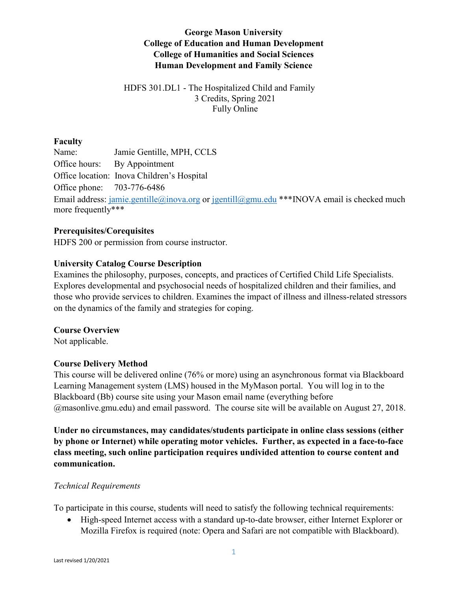# **George Mason University College of Education and Human Development College of Humanities and Social Sciences Human Development and Family Science**

# HDFS 301.DL1 - The Hospitalized Child and Family 3 Credits, Spring 2021 Fully Online

# **Faculty**

Name: Jamie Gentille, MPH, CCLS Office hours: By Appointment Office location: Inova Children's Hospital Office phone: 703-776-6486 Email address: [jamie.gentille@inova.org](mailto:jamie.gentille@inova.org) or [jgentill@gmu.edu](mailto:jgentill@gmu.edu) \*\*\*INOVA email is checked much more frequently\*\*\*

# **Prerequisites/Corequisites**

HDFS 200 or permission from course instructor.

# **University Catalog Course Description**

Examines the philosophy, purposes, concepts, and practices of Certified Child Life Specialists. Explores developmental and psychosocial needs of hospitalized children and their families, and those who provide services to children. Examines the impact of illness and illness-related stressors on the dynamics of the family and strategies for coping.

#### **Course Overview**

Not applicable.

# **Course Delivery Method**

This course will be delivered online (76% or more) using an asynchronous format via Blackboard Learning Management system (LMS) housed in the MyMason portal. You will log in to the Blackboard (Bb) course site using your Mason email name (everything before @masonlive.gmu.edu) and email password. The course site will be available on August 27, 2018.

**Under no circumstances, may candidates/students participate in online class sessions (either by phone or Internet) while operating motor vehicles. Further, as expected in a face-to-face class meeting, such online participation requires undivided attention to course content and communication.**

#### *Technical Requirements*

To participate in this course, students will need to satisfy the following technical requirements:

• High-speed Internet access with a standard up-to-date browser, either Internet Explorer or Mozilla Firefox is required (note: Opera and Safari are not compatible with Blackboard).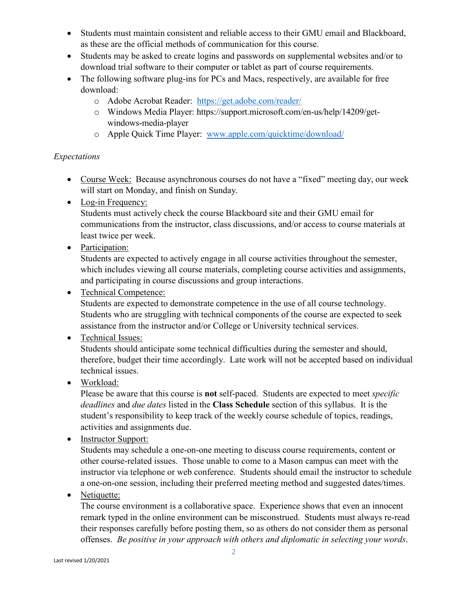- Students must maintain consistent and reliable access to their GMU email and Blackboard, as these are the official methods of communication for this course.
- Students may be asked to create logins and passwords on supplemental websites and/or to download trial software to their computer or tablet as part of course requirements.
- The following software plug-ins for PCs and Macs, respectively, are available for free download:
	- o Adobe Acrobat Reader: <https://get.adobe.com/reader/>
	- o Windows Media Player: https://support.microsoft.com/en-us/help/14209/getwindows-media-player
	- o Apple Quick Time Player: [www.apple.com/quicktime/download/](http://www.apple.com/quicktime/download/)

# *Expectations*

- Course Week: Because asynchronous courses do not have a "fixed" meeting day, our week will start on Monday, and finish on Sunday.
- Log-in Frequency:

Students must actively check the course Blackboard site and their GMU email for communications from the instructor, class discussions, and/or access to course materials at least twice per week.

• Participation:

Students are expected to actively engage in all course activities throughout the semester, which includes viewing all course materials, completing course activities and assignments, and participating in course discussions and group interactions.

# • Technical Competence:

Students are expected to demonstrate competence in the use of all course technology. Students who are struggling with technical components of the course are expected to seek assistance from the instructor and/or College or University technical services.

# • Technical Issues:

Students should anticipate some technical difficulties during the semester and should, therefore, budget their time accordingly. Late work will not be accepted based on individual technical issues.

• Workload:

Please be aware that this course is **not** self-paced. Students are expected to meet *specific deadlines* and *due dates* listed in the **Class Schedule** section of this syllabus. It is the student's responsibility to keep track of the weekly course schedule of topics, readings, activities and assignments due.

• Instructor Support:

Students may schedule a one-on-one meeting to discuss course requirements, content or other course-related issues. Those unable to come to a Mason campus can meet with the instructor via telephone or web conference. Students should email the instructor to schedule a one-on-one session, including their preferred meeting method and suggested dates/times.

# • Netiquette:

The course environment is a collaborative space. Experience shows that even an innocent remark typed in the online environment can be misconstrued. Students must always re-read their responses carefully before posting them, so as others do not consider them as personal offenses. *Be positive in your approach with others and diplomatic in selecting your words*.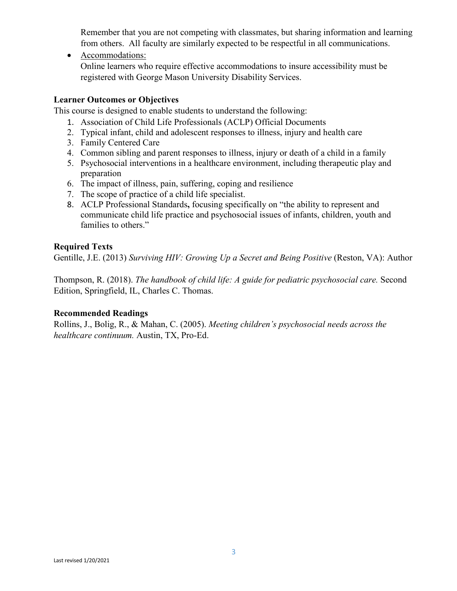Remember that you are not competing with classmates, but sharing information and learning from others. All faculty are similarly expected to be respectful in all communications.

• Accommodations:

Online learners who require effective accommodations to insure accessibility must be registered with George Mason University Disability Services.

#### **Learner Outcomes or Objectives**

This course is designed to enable students to understand the following:

- 1. Association of Child Life Professionals (ACLP) Official Documents
- 2. Typical infant, child and adolescent responses to illness, injury and health care
- 3. Family Centered Care
- 4. Common sibling and parent responses to illness, injury or death of a child in a family
- 5. Psychosocial interventions in a healthcare environment, including therapeutic play and preparation
- 6. The impact of illness, pain, suffering, coping and resilience
- 7. The scope of practice of a child life specialist.
- 8. ACLP Professional Standards**,** focusing specifically on "the ability to represent and communicate child life practice and psychosocial issues of infants, children, youth and families to others."

# **Required Texts**

Gentille, J.E. (2013) *Surviving HIV: Growing Up a Secret and Being Positive* (Reston, VA): Author

Thompson, R. (2018). *The handbook of child life: A guide for pediatric psychosocial care.* Second Edition, Springfield, IL, Charles C. Thomas.

#### **Recommended Readings**

Rollins, J., Bolig, R., & Mahan, C. (2005). *Meeting children's psychosocial needs across the healthcare continuum.* Austin, TX, Pro-Ed.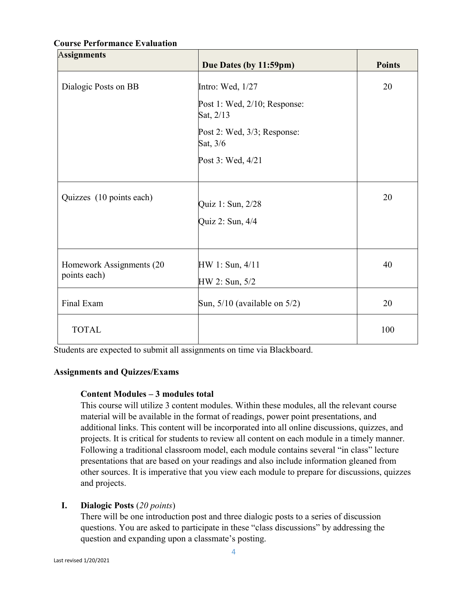# A**ssignments Due Dates (by 11:59pm) Points** Dialogic Posts on BB Intro: Wed, 1/27 Post 1: Wed, 2/10; Response: Sat, 2/13 Post 2: Wed, 3/3; Response: Sat, 3/6 Post 3: Wed, 4/21 20 Quizzes (10 points each)  $\begin{bmatrix} \text{Quiz 1: Sun, } 2/28 \end{bmatrix}$ Quiz 2: Sun, 4/4 20 Homework Assignments (20 points each) HW 1: Sun, 4/11 HW 2: Sun, 5/2 40 Final Exam Sun, 5/10 (available on 5/2) 20 TOTAL 100

#### **Course Performance Evaluation**

Students are expected to submit all assignments on time via Blackboard.

# **Assignments and Quizzes/Exams**

#### **Content Modules – 3 modules total**

This course will utilize 3 content modules. Within these modules, all the relevant course material will be available in the format of readings, power point presentations, and additional links. This content will be incorporated into all online discussions, quizzes, and projects. It is critical for students to review all content on each module in a timely manner. Following a traditional classroom model, each module contains several "in class" lecture presentations that are based on your readings and also include information gleaned from other sources. It is imperative that you view each module to prepare for discussions, quizzes and projects.

# **I. Dialogic Posts** (*20 points*)

There will be one introduction post and three dialogic posts to a series of discussion questions. You are asked to participate in these "class discussions" by addressing the question and expanding upon a classmate's posting.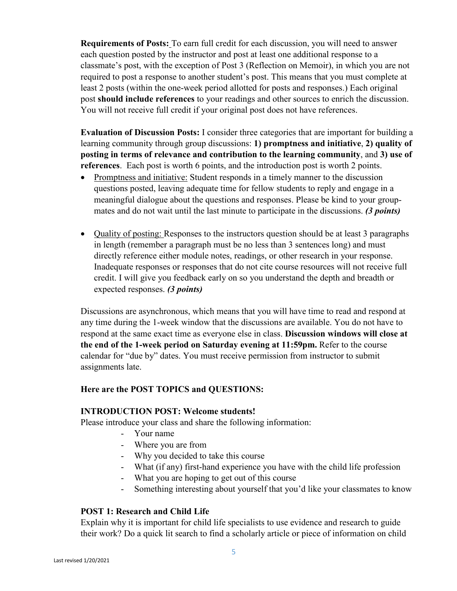**Requirements of Posts:** To earn full credit for each discussion, you will need to answer each question posted by the instructor and post at least one additional response to a classmate's post, with the exception of Post 3 (Reflection on Memoir), in which you are not required to post a response to another student's post. This means that you must complete at least 2 posts (within the one-week period allotted for posts and responses.) Each original post **should include references** to your readings and other sources to enrich the discussion. You will not receive full credit if your original post does not have references.

**Evaluation of Discussion Posts:** I consider three categories that are important for building a learning community through group discussions: **1) promptness and initiative**, **2) quality of posting in terms of relevance and contribution to the learning community**, and **3) use of references**. Each post is worth 6 points, and the introduction post is worth 2 points.

- Promptness and initiative: Student responds in a timely manner to the discussion questions posted, leaving adequate time for fellow students to reply and engage in a meaningful dialogue about the questions and responses. Please be kind to your groupmates and do not wait until the last minute to participate in the discussions. *(3 points)*
- Quality of posting: Responses to the instructors question should be at least 3 paragraphs in length (remember a paragraph must be no less than 3 sentences long) and must directly reference either module notes, readings, or other research in your response. Inadequate responses or responses that do not cite course resources will not receive full credit. I will give you feedback early on so you understand the depth and breadth or expected responses. *(3 points)*

Discussions are asynchronous, which means that you will have time to read and respond at any time during the 1-week window that the discussions are available. You do not have to respond at the same exact time as everyone else in class. **Discussion windows will close at the end of the 1-week period on Saturday evening at 11:59pm.** Refer to the course calendar for "due by" dates. You must receive permission from instructor to submit assignments late.

#### **Here are the POST TOPICS and QUESTIONS:**

#### **INTRODUCTION POST: Welcome students!**

Please introduce your class and share the following information:

- Your name
- Where you are from
- Why you decided to take this course
- What (if any) first-hand experience you have with the child life profession
- What you are hoping to get out of this course
- Something interesting about yourself that you'd like your classmates to know

#### **POST 1: Research and Child Life**

Explain why it is important for child life specialists to use evidence and research to guide their work? Do a quick lit search to find a scholarly article or piece of information on child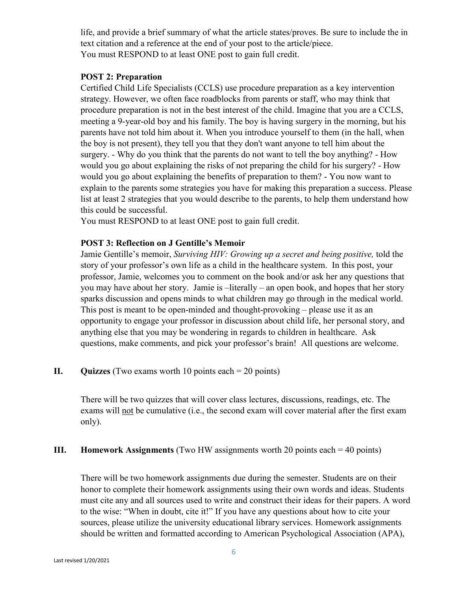life, and provide a brief summary of what the article states/proves. Be sure to include the in text citation and a reference at the end of your post to the article/piece. You must RESPOND to at least ONE post to gain full credit.

#### **POST 2: Preparation**

Certified Child Life Specialists (CCLS) use procedure preparation as a key intervention strategy. However, we often face roadblocks from parents or staff, who may think that procedure preparation is not in the best interest of the child. Imagine that you are a CCLS, meeting a 9-year-old boy and his family. The boy is having surgery in the morning, but his parents have not told him about it. When you introduce yourself to them (in the hall, when the boy is not present), they tell you that they don't want anyone to tell him about the surgery. - Why do you think that the parents do not want to tell the boy anything? - How would you go about explaining the risks of not preparing the child for his surgery? - How would you go about explaining the benefits of preparation to them? - You now want to explain to the parents some strategies you have for making this preparation a success. Please list at least 2 strategies that you would describe to the parents, to help them understand how this could be successful.

You must RESPOND to at least ONE post to gain full credit.

#### **POST 3: Reflection on J Gentille's Memoir**

Jamie Gentille's memoir, *Surviving HIV: Growing up a secret and being positive,* told the story of your professor's own life as a child in the healthcare system. In this post, your professor, Jamie, welcomes you to comment on the book and/or ask her any questions that you may have about her story. Jamie is –literally – an open book, and hopes that her story sparks discussion and opens minds to what children may go through in the medical world. This post is meant to be open-minded and thought-provoking – please use it as an opportunity to engage your professor in discussion about child life, her personal story, and anything else that you may be wondering in regards to children in healthcare. Ask questions, make comments, and pick your professor's brain! All questions are welcome.

#### **II. Quizzes** (Two exams worth 10 points each = 20 points)

There will be two quizzes that will cover class lectures, discussions, readings, etc. The exams will not be cumulative (i.e., the second exam will cover material after the first exam only).

#### **III. Homework Assignments** (Two HW assignments worth 20 points each = 40 points)

There will be two homework assignments due during the semester. Students are on their honor to complete their homework assignments using their own words and ideas. Students must cite any and all sources used to write and construct their ideas for their papers. A word to the wise: "When in doubt, cite it!" If you have any questions about how to cite your sources, please utilize the university educational library services. Homework assignments should be written and formatted according to American Psychological Association (APA),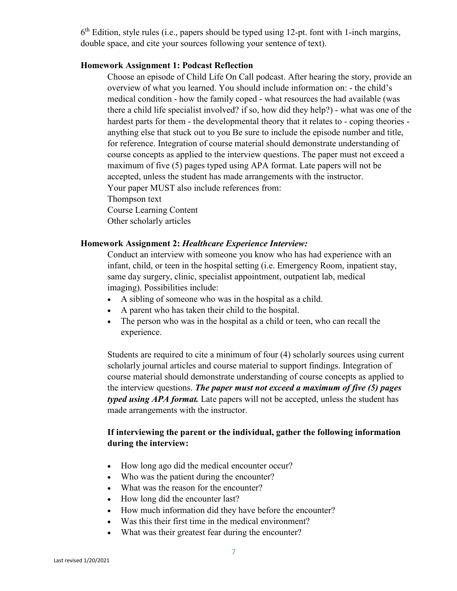$6<sup>th</sup>$  Edition, style rules (i.e., papers should be typed using 12-pt. font with 1-inch margins, double space, and cite your sources following your sentence of text).

#### **Homework Assignment 1: Podcast Reflection**

Choose an episode of Child Life On Call podcast. After hearing the story, provide an overview of what you learned. You should include information on: - the child's medical condition - how the family coped - what resources the had available (was there a child life specialist involved? if so, how did they help?) - what was one of the hardest parts for them - the developmental theory that it relates to - coping theories anything else that stuck out to you Be sure to include the episode number and title, for reference. Integration of course material should demonstrate understanding of course concepts as applied to the interview questions. The paper must not exceed a maximum of five (5) pages typed using APA format. Late papers will not be accepted, unless the student has made arrangements with the instructor. Your paper MUST also include references from: Thompson text Course Learning Content Other scholarly articles

#### **Homework Assignment 2:** *Healthcare Experience Interview:*

Conduct an interview with someone you know who has had experience with an infant, child, or teen in the hospital setting (i.e. Emergency Room, inpatient stay, same day surgery, clinic, specialist appointment, outpatient lab, medical imaging). Possibilities include:

- A sibling of someone who was in the hospital as a child.
- A parent who has taken their child to the hospital.
- The person who was in the hospital as a child or teen, who can recall the experience.

Students are required to cite a minimum of four (4) scholarly sources using current scholarly journal articles and course material to support findings. Integration of course material should demonstrate understanding of course concepts as applied to the interview questions. *The paper must not exceed a maximum of five (5) pages typed using APA format.* Late papers will not be accepted, unless the student has made arrangements with the instructor.

# **If interviewing the parent or the individual, gather the following information during the interview:**

- How long ago did the medical encounter occur?
- Who was the patient during the encounter?
- What was the reason for the encounter?
- How long did the encounter last?
- How much information did they have before the encounter?
- Was this their first time in the medical environment?
- What was their greatest fear during the encounter?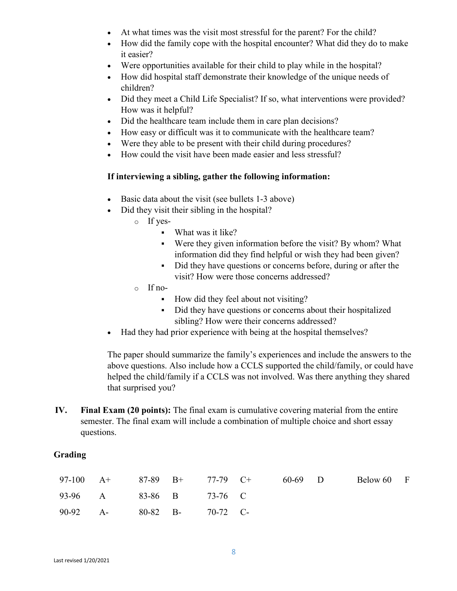- At what times was the visit most stressful for the parent? For the child?
- How did the family cope with the hospital encounter? What did they do to make it easier?
- Were opportunities available for their child to play while in the hospital?
- How did hospital staff demonstrate their knowledge of the unique needs of children?
- Did they meet a Child Life Specialist? If so, what interventions were provided? How was it helpful?
- Did the healthcare team include them in care plan decisions?
- How easy or difficult was it to communicate with the healthcare team?
- Were they able to be present with their child during procedures?
- How could the visit have been made easier and less stressful?

#### **If interviewing a sibling, gather the following information:**

- Basic data about the visit (see bullets 1-3 above)
- Did they visit their sibling in the hospital?
	- o If yes-
		- What was it like?
		- Were they given information before the visit? By whom? What information did they find helpful or wish they had been given?
		- Did they have questions or concerns before, during or after the visit? How were those concerns addressed?
	- o If no-
		- How did they feel about not visiting?
		- Did they have questions or concerns about their hospitalized sibling? How were their concerns addressed?
- Had they had prior experience with being at the hospital themselves?

The paper should summarize the family's experiences and include the answers to the above questions. Also include how a CCLS supported the child/family, or could have helped the child/family if a CCLS was not involved. Was there anything they shared that surprised you?

**IV. Final Exam (20 points):** The final exam is cumulative covering material from the entire semester. The final exam will include a combination of multiple choice and short essay questions.

#### **Grading**

|                            |  | 97-100 A+ 87-89 B+ 77-79 C+ | 60-69 D | Below 60 F |  |
|----------------------------|--|-----------------------------|---------|------------|--|
| 93-96 A 83-86 B 73-76 C    |  |                             |         |            |  |
| 90-92 A- 80-82 B- 70-72 C- |  |                             |         |            |  |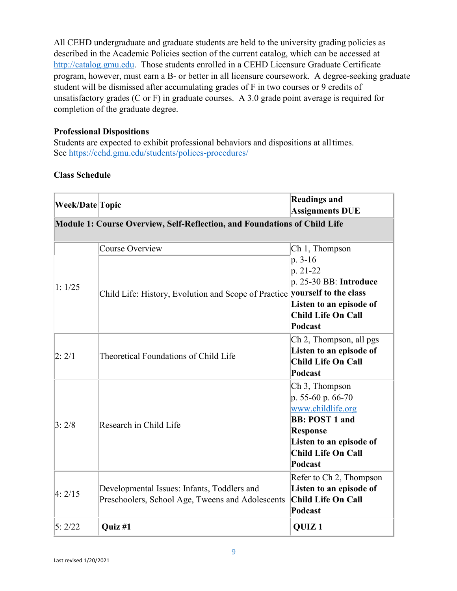All CEHD undergraduate and graduate students are held to the university grading policies as described in the Academic Policies section of the current catalog, which can be accessed at [http://catalog.gmu.edu.](http://catalog.gmu.edu/) Those students enrolled in a CEHD Licensure Graduate Certificate program, however, must earn a B- or better in all licensure coursework. A degree-seeking graduate student will be dismissed after accumulating grades of F in two courses or 9 credits of unsatisfactory grades (C or F) in graduate courses. A 3.0 grade point average is required for completion of the graduate degree.

# **Professional Dispositions**

Students are expected to exhibit professional behaviors and dispositions at alltimes. See<https://cehd.gmu.edu/students/polices-procedures/>

# **Class Schedule**

| <b>Week/Date Topic</b>                                                    |                                                                                                      | <b>Readings and</b><br><b>Assignments DUE</b>                                                                                                                                       |  |  |  |  |  |
|---------------------------------------------------------------------------|------------------------------------------------------------------------------------------------------|-------------------------------------------------------------------------------------------------------------------------------------------------------------------------------------|--|--|--|--|--|
| Module 1: Course Overview, Self-Reflection, and Foundations of Child Life |                                                                                                      |                                                                                                                                                                                     |  |  |  |  |  |
| 1:1/25                                                                    | <b>Course Overview</b><br>Child Life: History, Evolution and Scope of Practice yourself to the class | Ch 1, Thompson<br>p. 3-16<br>p. 21-22<br>p. 25-30 BB: Introduce<br>Listen to an episode of<br><b>Child Life On Call</b><br>Podcast                                                  |  |  |  |  |  |
| 2:2/1                                                                     | Theoretical Foundations of Child Life                                                                | Ch 2, Thompson, all pgs<br>Listen to an episode of<br><b>Child Life On Call</b><br><b>Podcast</b>                                                                                   |  |  |  |  |  |
| 3:2/8                                                                     | Research in Child Life                                                                               | Ch <sub>3</sub> , Thompson<br>p. 55-60 p. 66-70<br>www.childlife.org<br><b>BB: POST 1 and</b><br><b>Response</b><br>Listen to an episode of<br><b>Child Life On Call</b><br>Podcast |  |  |  |  |  |
| 4:2/15                                                                    | Developmental Issues: Infants, Toddlers and<br>Preschoolers, School Age, Tweens and Adolescents      | Refer to Ch 2, Thompson<br>Listen to an episode of<br><b>Child Life On Call</b><br>Podcast                                                                                          |  |  |  |  |  |
| 5:2/22                                                                    | <b>Ouiz</b> #1                                                                                       | <b>OUIZ1</b>                                                                                                                                                                        |  |  |  |  |  |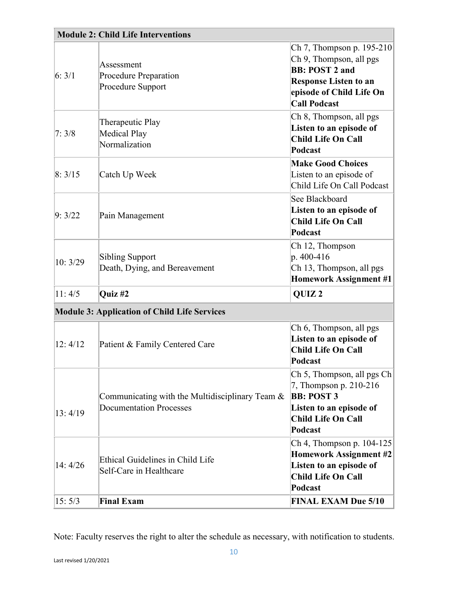| <b>Module 2: Child Life Interventions</b>           |                                                                                      |                                                                                                                                                                  |  |  |  |
|-----------------------------------------------------|--------------------------------------------------------------------------------------|------------------------------------------------------------------------------------------------------------------------------------------------------------------|--|--|--|
| 6:3/1                                               | Assessment<br>Procedure Preparation<br>Procedure Support                             | Ch 7, Thompson p. 195-210<br>Ch 9, Thompson, all pgs<br><b>BB: POST 2 and</b><br><b>Response Listen to an</b><br>episode of Child Life On<br><b>Call Podcast</b> |  |  |  |
| 7:3/8                                               | Therapeutic Play<br><b>Medical Play</b><br>Normalization                             | Ch 8, Thompson, all pgs<br>Listen to an episode of<br><b>Child Life On Call</b><br>Podcast                                                                       |  |  |  |
| 8:3/15                                              | Catch Up Week                                                                        | <b>Make Good Choices</b><br>Listen to an episode of<br>Child Life On Call Podcast                                                                                |  |  |  |
| 9:3/22                                              | Pain Management                                                                      | See Blackboard<br>Listen to an episode of<br><b>Child Life On Call</b><br>Podcast                                                                                |  |  |  |
| 10:3/29                                             | <b>Sibling Support</b><br>Death, Dying, and Bereavement                              | Ch 12, Thompson<br>p. 400-416<br>Ch 13, Thompson, all pgs<br><b>Homework Assignment #1</b>                                                                       |  |  |  |
| 11:4/5                                              | Quiz #2                                                                              | QUIZ <sub>2</sub>                                                                                                                                                |  |  |  |
| <b>Module 3: Application of Child Life Services</b> |                                                                                      |                                                                                                                                                                  |  |  |  |
| 12:4/12                                             | Patient & Family Centered Care                                                       | Ch 6, Thompson, all pgs<br>Listen to an episode of<br><b>Child Life On Call</b><br>Podcast                                                                       |  |  |  |
| 13:4/19                                             | Communicating with the Multidisciplinary Team $\&$<br><b>Documentation Processes</b> | Ch 5, Thompson, all pgs Ch<br>7, Thompson p. 210-216<br><b>BB: POST 3</b><br>Listen to an episode of<br><b>Child Life On Call</b><br>Podcast                     |  |  |  |
| 14:4/26                                             | Ethical Guidelines in Child Life<br>Self-Care in Healthcare                          | Ch 4, Thompson p. 104-125<br><b>Homework Assignment #2</b><br>Listen to an episode of<br><b>Child Life On Call</b><br>Podcast                                    |  |  |  |
| 15:5/3                                              | <b>Final Exam</b>                                                                    | <b>FINAL EXAM Due 5/10</b>                                                                                                                                       |  |  |  |

Note: Faculty reserves the right to alter the schedule as necessary, with notification to students.